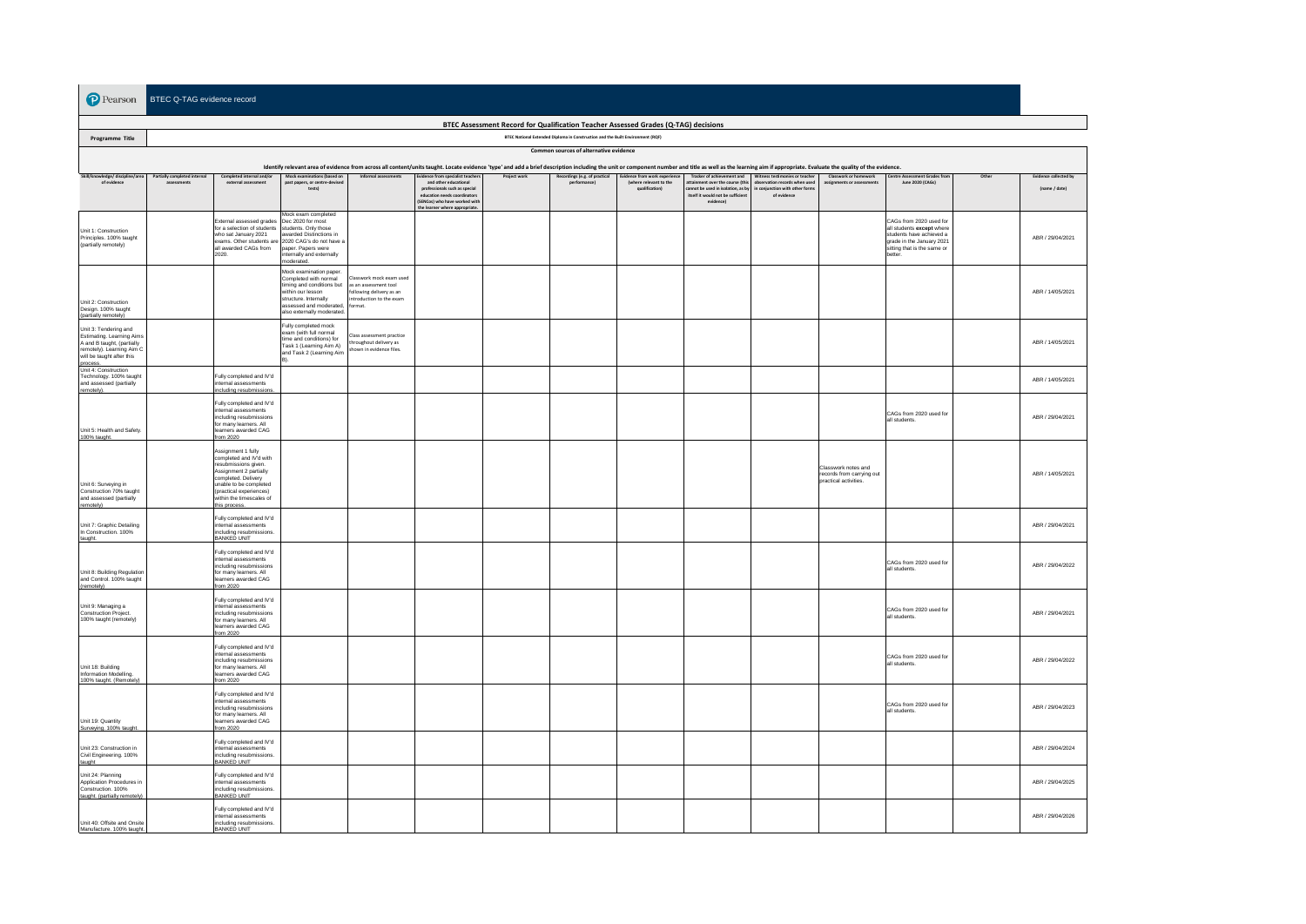**P** Pearson BTEC Q-TAG evidence record

| BTEC Assessment Record for Qualification Teacher Assessed Grades (Q-TAG) decisions                                                                                                                                             |                              |                                                                                                                                                                                                                          |                                                                                                                                                                                        |                                                                                                              |                                                                                                                                                                                              |              |                                              |                                                                           |                                                                                                                        |                                                                                                                                          |                                                                           |                                                                                                                                                         |       |                                               |
|--------------------------------------------------------------------------------------------------------------------------------------------------------------------------------------------------------------------------------|------------------------------|--------------------------------------------------------------------------------------------------------------------------------------------------------------------------------------------------------------------------|----------------------------------------------------------------------------------------------------------------------------------------------------------------------------------------|--------------------------------------------------------------------------------------------------------------|----------------------------------------------------------------------------------------------------------------------------------------------------------------------------------------------|--------------|----------------------------------------------|---------------------------------------------------------------------------|------------------------------------------------------------------------------------------------------------------------|------------------------------------------------------------------------------------------------------------------------------------------|---------------------------------------------------------------------------|---------------------------------------------------------------------------------------------------------------------------------------------------------|-------|-----------------------------------------------|
| BTEC National Extended Diploma in Construction and the Built Environment (RQF)<br>Programme Title                                                                                                                              |                              |                                                                                                                                                                                                                          |                                                                                                                                                                                        |                                                                                                              |                                                                                                                                                                                              |              |                                              |                                                                           |                                                                                                                        |                                                                                                                                          |                                                                           |                                                                                                                                                         |       |                                               |
| Common sources of alternative evidence                                                                                                                                                                                         |                              |                                                                                                                                                                                                                          |                                                                                                                                                                                        |                                                                                                              |                                                                                                                                                                                              |              |                                              |                                                                           |                                                                                                                        |                                                                                                                                          |                                                                           |                                                                                                                                                         |       |                                               |
| Identify relevant area of evidence from across all content/units taught. Locate evidence 'type' and add a brief description including the unit or component number and title as well as the learning aim if appropriate. Evalu |                              |                                                                                                                                                                                                                          |                                                                                                                                                                                        |                                                                                                              |                                                                                                                                                                                              |              |                                              |                                                                           |                                                                                                                        |                                                                                                                                          |                                                                           |                                                                                                                                                         |       |                                               |
| Skill/knowledge/ discipline/area<br>of evidence                                                                                                                                                                                | Partially completed internal | Completed internal and/or<br>external assessment                                                                                                                                                                         | Mock examinations (based on<br>past papers, or centre-devised<br>tests)                                                                                                                | Informal accordings                                                                                          | Evidence from specialist teache<br>and other educational<br>professionals such as special<br>education needs coordinator.<br>(SENCos) who have worked with<br>the learner where appropriate. | Project work | Recordings (e.g. of practical<br>performance | Evidence from work experience<br>(where relevant to the<br>qualification) | sttainment over the course (this<br>nnot be used in isolation, as by<br>itself it would not be sufficient<br>evidence) | Tracker of achievement and Witness testimonies or teacher<br>observation records when used<br>conjunction with other form<br>of evidence | Classwork or homework<br>assignments or assessments                       | entre Asses<br>nent Grades fre<br>June 2020 (CAGs)                                                                                                      | Other | <b>Evidence collected by</b><br>(name / date) |
| Unit 1: Construction<br>Principles. 100% taught<br>(partially remotely)                                                                                                                                                        |                              | External assessed grades<br>for a selection of students<br>who sat January 2021<br>exams. Other students are<br>all awarded CAGs from<br>2020.                                                                           | Mock exam completed<br>Dec 2020 for most<br>students. Only those<br>warded Distinctions in<br>2020 CAG's do not have a<br>paper. Papers were<br>nternally and externally<br>noderated. |                                                                                                              |                                                                                                                                                                                              |              |                                              |                                                                           |                                                                                                                        |                                                                                                                                          |                                                                           | CAGs from 2020 used for<br>all students except where<br>students have achieved a<br>grade in the January 2021<br>sitting that is the same or<br>better. |       | ABR / 29/04/2021                              |
| Unit 2: Construction<br>Design. 100% taught<br>(partially remotely)                                                                                                                                                            |                              |                                                                                                                                                                                                                          | Mock examination paper.<br>Completed with normal<br>timing and conditions but<br>within our lesson<br>structure, Internally<br>assessed and moderated.<br>also externally moderated.   | sswork mock exam used<br>as an assessment tool<br>ollowing delivery as an<br>troduction to the exam<br>rmat. |                                                                                                                                                                                              |              |                                              |                                                                           |                                                                                                                        |                                                                                                                                          |                                                                           |                                                                                                                                                         |       | ABR / 14/05/2021                              |
| Unit 3: Tendering and<br>Estimating, Learning Aims<br>A and B taught, (partially<br>remotely). Learning Aim C<br>will be taught after this<br>process.<br>Unit 4: Construction                                                 |                              |                                                                                                                                                                                                                          | Fully completed mock<br>exam (with full normal<br>time and conditions) for<br>Task 1 (Learning Aim A)<br>and Task 2 (Learning Aim                                                      | lass assessment practice<br>moughout delivery as<br>shown in evidence files.                                 |                                                                                                                                                                                              |              |                                              |                                                                           |                                                                                                                        |                                                                                                                                          |                                                                           |                                                                                                                                                         |       | ABR / 14/05/2021                              |
| Technology. 100% taught<br>and assessed (partially<br>remotely).                                                                                                                                                               |                              | Fully completed and IV'd<br>nternal assessments<br>ncluding resubmissions                                                                                                                                                |                                                                                                                                                                                        |                                                                                                              |                                                                                                                                                                                              |              |                                              |                                                                           |                                                                                                                        |                                                                                                                                          |                                                                           |                                                                                                                                                         |       | ABR / 14/05/2021                              |
| Unit 5: Health and Safety.<br>100% taught.                                                                                                                                                                                     |                              | Fully completed and IV'd<br>internal assessments<br>including resubmissions<br>for many learners. All<br>earners awarded CAG<br>from 2020                                                                                |                                                                                                                                                                                        |                                                                                                              |                                                                                                                                                                                              |              |                                              |                                                                           |                                                                                                                        |                                                                                                                                          |                                                                           | CAGs from 2020 used for<br>all students.                                                                                                                |       | ABR / 29/04/2021                              |
| Unit 6: Surveying in<br>Construction 70% taught<br>and assessed (partially<br>remotely)                                                                                                                                        |                              | Assignment 1 fully<br>completed and IV'd with<br>resubmissions given.<br>Assignment 2 partially<br>completed. Delivery<br>unable to be completed.<br>(practical experiences)<br>within the timescales of<br>his process. |                                                                                                                                                                                        |                                                                                                              |                                                                                                                                                                                              |              |                                              |                                                                           |                                                                                                                        |                                                                                                                                          | Classwork notes and<br>records from carrying out<br>practical activities. |                                                                                                                                                         |       | ABR / 14/05/2021                              |
| Unit 7: Graphic Detailing<br>In Construction. 100%<br>taught.                                                                                                                                                                  |                              | Fully completed and IV'd<br>internal assessments<br>including resubmissions.<br>BANKED UNIT                                                                                                                              |                                                                                                                                                                                        |                                                                                                              |                                                                                                                                                                                              |              |                                              |                                                                           |                                                                                                                        |                                                                                                                                          |                                                                           |                                                                                                                                                         |       | ABR / 29/04/2021                              |
| Unit 8: Building Regulation<br>and Control. 100% taught<br>(remotely)                                                                                                                                                          |                              | Fully completed and IV'd<br>internal assessments<br>includina resubmissions<br>for many learners. All<br>learners awarded CAG<br>rom 2020                                                                                |                                                                                                                                                                                        |                                                                                                              |                                                                                                                                                                                              |              |                                              |                                                                           |                                                                                                                        |                                                                                                                                          |                                                                           | CAGs from 2020 used for<br>all students.                                                                                                                |       | ABR / 29/04/2022                              |
| Unit 9: Managing a<br>Construction Project.<br>100% taught (remotely)                                                                                                                                                          |                              | Fully completed and IV'd<br>internal assessments<br>including resubmissions<br>for many learners. All<br>earners awarded CAG<br>from 2020                                                                                |                                                                                                                                                                                        |                                                                                                              |                                                                                                                                                                                              |              |                                              |                                                                           |                                                                                                                        |                                                                                                                                          |                                                                           | CAGs from 2020 used for<br>all students                                                                                                                 |       | ABR / 29/04/2021                              |
| Unit 18: Building<br>Information Modelling.<br>100% taught. (Remotely)                                                                                                                                                         |                              | Fully completed and IV'd<br>internal assessments<br>including resubmissions<br>for many learners. All<br>learners awarded CAG<br>from 2020                                                                               |                                                                                                                                                                                        |                                                                                                              |                                                                                                                                                                                              |              |                                              |                                                                           |                                                                                                                        |                                                                                                                                          |                                                                           | CAGs from 2020 used for<br>all students.                                                                                                                |       | ABR / 29/04/2022                              |
| Unit 19: Quantity<br>Surveying. 100% taught                                                                                                                                                                                    |                              | Fully completed and IV'd<br>internal assessments<br>including resubmissions<br>for many learners, All<br>learners awarded CAG<br>from 2020                                                                               |                                                                                                                                                                                        |                                                                                                              |                                                                                                                                                                                              |              |                                              |                                                                           |                                                                                                                        |                                                                                                                                          |                                                                           | CAGs from 2020 used for<br>all students.                                                                                                                |       | ABR / 29/04/2023                              |
| Unit 23: Construction in<br>Civil Engineering. 100%<br>taught                                                                                                                                                                  |                              | Fully completed and IV'd<br>internal assessments<br>including resubmissions.<br>BANKED UNIT                                                                                                                              |                                                                                                                                                                                        |                                                                                                              |                                                                                                                                                                                              |              |                                              |                                                                           |                                                                                                                        |                                                                                                                                          |                                                                           |                                                                                                                                                         |       | ABR / 29/04/2024                              |
| Unit 24: Planning<br>Application Procedures in<br>Construction. 100%<br>taught. (partially remotely)                                                                                                                           |                              | Fully completed and IV'd<br>internal assessments<br>ncluding resubmissions.<br>BANKED UNIT                                                                                                                               |                                                                                                                                                                                        |                                                                                                              |                                                                                                                                                                                              |              |                                              |                                                                           |                                                                                                                        |                                                                                                                                          |                                                                           |                                                                                                                                                         |       | ABR / 29/04/2025                              |
| Unit 40: Offsite and Onsite<br>Manufacture, 100% taught.                                                                                                                                                                       |                              | Fully completed and IV'd<br>internal assessments<br>including resubmissions.<br><b>BANKED UNIT</b>                                                                                                                       |                                                                                                                                                                                        |                                                                                                              |                                                                                                                                                                                              |              |                                              |                                                                           |                                                                                                                        |                                                                                                                                          |                                                                           |                                                                                                                                                         |       | ABR / 29/04/2026                              |